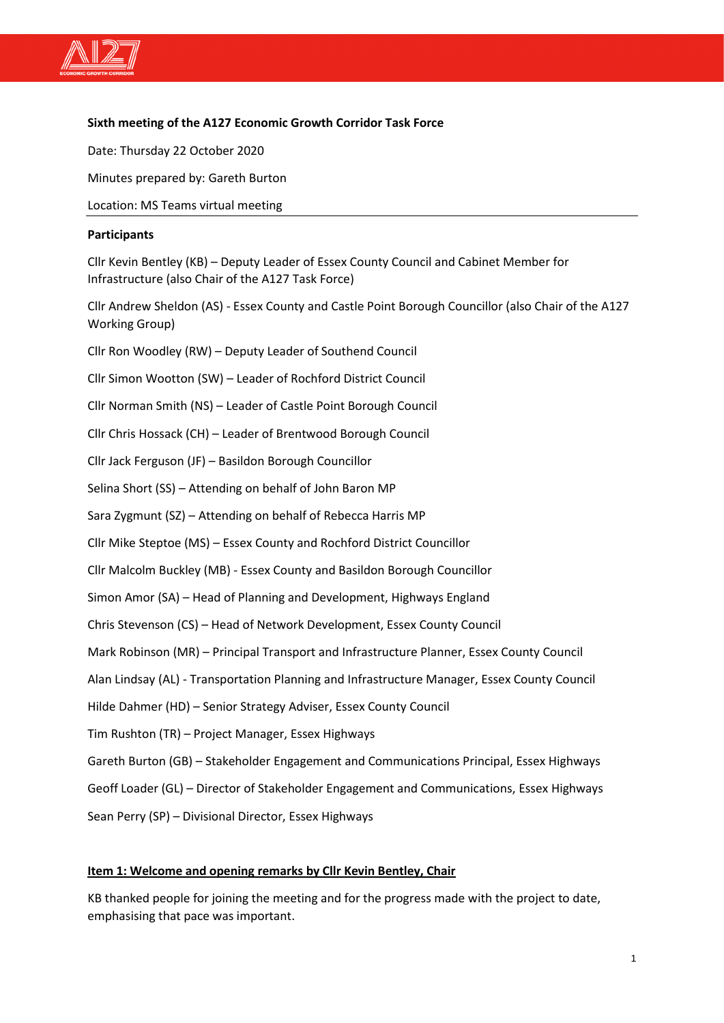

## **Sixth meeting of the A127 Economic Growth Corridor Task Force**

Date: Thursday 22 October 2020

Minutes prepared by: Gareth Burton

Location: MS Teams virtual meeting

#### **Participants**

Cllr Kevin Bentley (KB) – Deputy Leader of Essex County Council and Cabinet Member for Infrastructure (also Chair of the A127 Task Force)

Cllr Andrew Sheldon (AS) - Essex County and Castle Point Borough Councillor (also Chair of the A127 Working Group)

Cllr Ron Woodley (RW) – Deputy Leader of Southend Council

Cllr Simon Wootton (SW) – Leader of Rochford District Council

Cllr Norman Smith (NS) – Leader of Castle Point Borough Council

Cllr Chris Hossack (CH) – Leader of Brentwood Borough Council

Cllr Jack Ferguson (JF) – Basildon Borough Councillor

Selina Short (SS) – Attending on behalf of John Baron MP

Sara Zygmunt (SZ) – Attending on behalf of Rebecca Harris MP

Cllr Mike Steptoe (MS) – Essex County and Rochford District Councillor

Cllr Malcolm Buckley (MB) - Essex County and Basildon Borough Councillor

Simon Amor (SA) – Head of Planning and Development, Highways England

Chris Stevenson (CS) – Head of Network Development, Essex County Council

Mark Robinson (MR) – Principal Transport and Infrastructure Planner, Essex County Council

Alan Lindsay (AL) - Transportation Planning and Infrastructure Manager, Essex County Council

Hilde Dahmer (HD) – Senior Strategy Adviser, Essex County Council

Tim Rushton (TR) – Project Manager, Essex Highways

Gareth Burton (GB) – Stakeholder Engagement and Communications Principal, Essex Highways

Geoff Loader (GL) – Director of Stakeholder Engagement and Communications, Essex Highways

Sean Perry (SP) – Divisional Director, Essex Highways

#### **Item 1: Welcome and opening remarks by Cllr Kevin Bentley, Chair**

KB thanked people for joining the meeting and for the progress made with the project to date, emphasising that pace was important.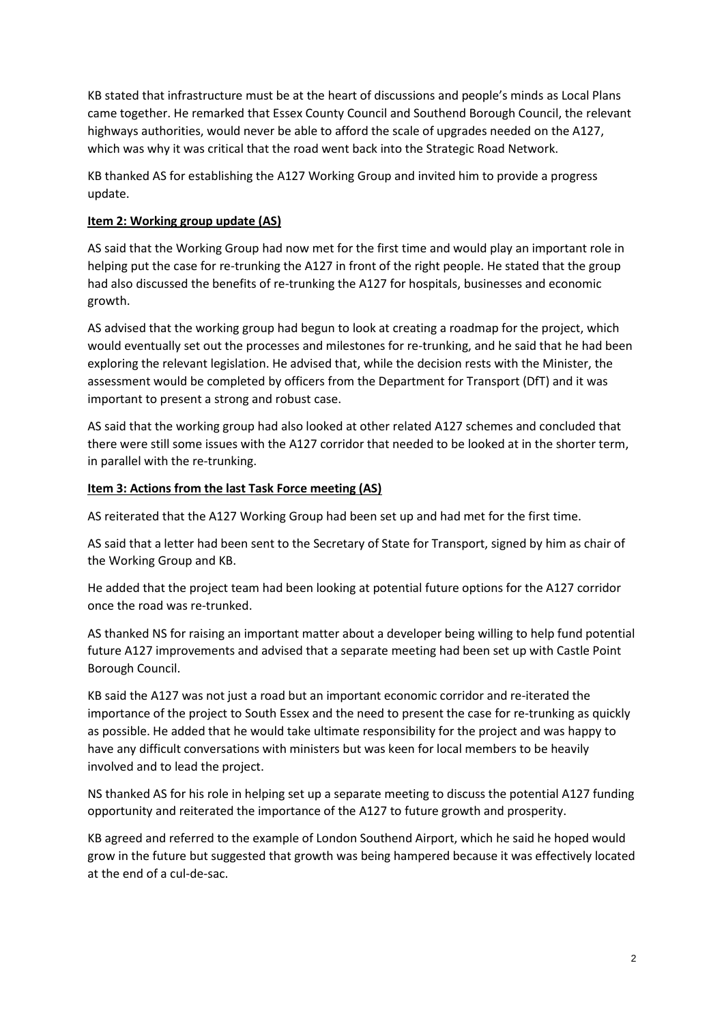KB stated that infrastructure must be at the heart of discussions and people's minds as Local Plans came together. He remarked that Essex County Council and Southend Borough Council, the relevant highways authorities, would never be able to afford the scale of upgrades needed on the A127, which was why it was critical that the road went back into the Strategic Road Network.

KB thanked AS for establishing the A127 Working Group and invited him to provide a progress update.

## **Item 2: Working group update (AS)**

AS said that the Working Group had now met for the first time and would play an important role in helping put the case for re-trunking the A127 in front of the right people. He stated that the group had also discussed the benefits of re-trunking the A127 for hospitals, businesses and economic growth.

AS advised that the working group had begun to look at creating a roadmap for the project, which would eventually set out the processes and milestones for re-trunking, and he said that he had been exploring the relevant legislation. He advised that, while the decision rests with the Minister, the assessment would be completed by officers from the Department for Transport (DfT) and it was important to present a strong and robust case.

AS said that the working group had also looked at other related A127 schemes and concluded that there were still some issues with the A127 corridor that needed to be looked at in the shorter term, in parallel with the re-trunking.

# **Item 3: Actions from the last Task Force meeting (AS)**

AS reiterated that the A127 Working Group had been set up and had met for the first time.

AS said that a letter had been sent to the Secretary of State for Transport, signed by him as chair of the Working Group and KB.

He added that the project team had been looking at potential future options for the A127 corridor once the road was re-trunked.

AS thanked NS for raising an important matter about a developer being willing to help fund potential future A127 improvements and advised that a separate meeting had been set up with Castle Point Borough Council.

KB said the A127 was not just a road but an important economic corridor and re-iterated the importance of the project to South Essex and the need to present the case for re-trunking as quickly as possible. He added that he would take ultimate responsibility for the project and was happy to have any difficult conversations with ministers but was keen for local members to be heavily involved and to lead the project.

NS thanked AS for his role in helping set up a separate meeting to discuss the potential A127 funding opportunity and reiterated the importance of the A127 to future growth and prosperity.

KB agreed and referred to the example of London Southend Airport, which he said he hoped would grow in the future but suggested that growth was being hampered because it was effectively located at the end of a cul-de-sac.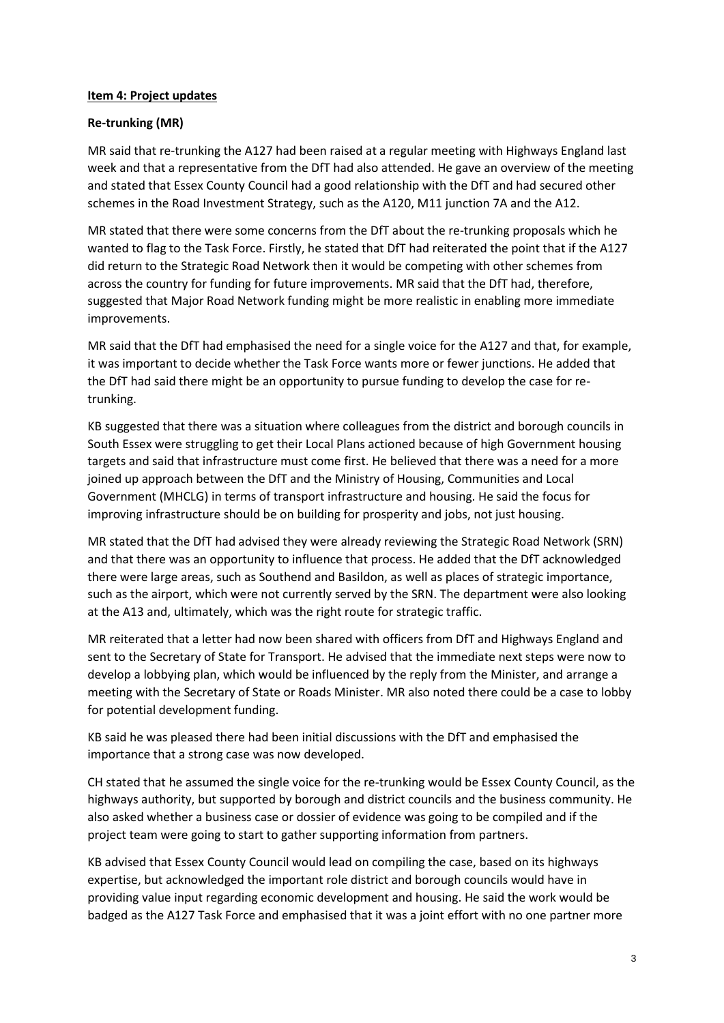### **Item 4: Project updates**

## **Re-trunking (MR)**

MR said that re-trunking the A127 had been raised at a regular meeting with Highways England last week and that a representative from the DfT had also attended. He gave an overview of the meeting and stated that Essex County Council had a good relationship with the DfT and had secured other schemes in the Road Investment Strategy, such as the A120, M11 junction 7A and the A12.

MR stated that there were some concerns from the DfT about the re-trunking proposals which he wanted to flag to the Task Force. Firstly, he stated that DfT had reiterated the point that if the A127 did return to the Strategic Road Network then it would be competing with other schemes from across the country for funding for future improvements. MR said that the DfT had, therefore, suggested that Major Road Network funding might be more realistic in enabling more immediate improvements.

MR said that the DfT had emphasised the need for a single voice for the A127 and that, for example, it was important to decide whether the Task Force wants more or fewer junctions. He added that the DfT had said there might be an opportunity to pursue funding to develop the case for retrunking.

KB suggested that there was a situation where colleagues from the district and borough councils in South Essex were struggling to get their Local Plans actioned because of high Government housing targets and said that infrastructure must come first. He believed that there was a need for a more joined up approach between the DfT and the Ministry of Housing, Communities and Local Government (MHCLG) in terms of transport infrastructure and housing. He said the focus for improving infrastructure should be on building for prosperity and jobs, not just housing.

MR stated that the DfT had advised they were already reviewing the Strategic Road Network (SRN) and that there was an opportunity to influence that process. He added that the DfT acknowledged there were large areas, such as Southend and Basildon, as well as places of strategic importance, such as the airport, which were not currently served by the SRN. The department were also looking at the A13 and, ultimately, which was the right route for strategic traffic.

MR reiterated that a letter had now been shared with officers from DfT and Highways England and sent to the Secretary of State for Transport. He advised that the immediate next steps were now to develop a lobbying plan, which would be influenced by the reply from the Minister, and arrange a meeting with the Secretary of State or Roads Minister. MR also noted there could be a case to lobby for potential development funding.

KB said he was pleased there had been initial discussions with the DfT and emphasised the importance that a strong case was now developed.

CH stated that he assumed the single voice for the re-trunking would be Essex County Council, as the highways authority, but supported by borough and district councils and the business community. He also asked whether a business case or dossier of evidence was going to be compiled and if the project team were going to start to gather supporting information from partners.

KB advised that Essex County Council would lead on compiling the case, based on its highways expertise, but acknowledged the important role district and borough councils would have in providing value input regarding economic development and housing. He said the work would be badged as the A127 Task Force and emphasised that it was a joint effort with no one partner more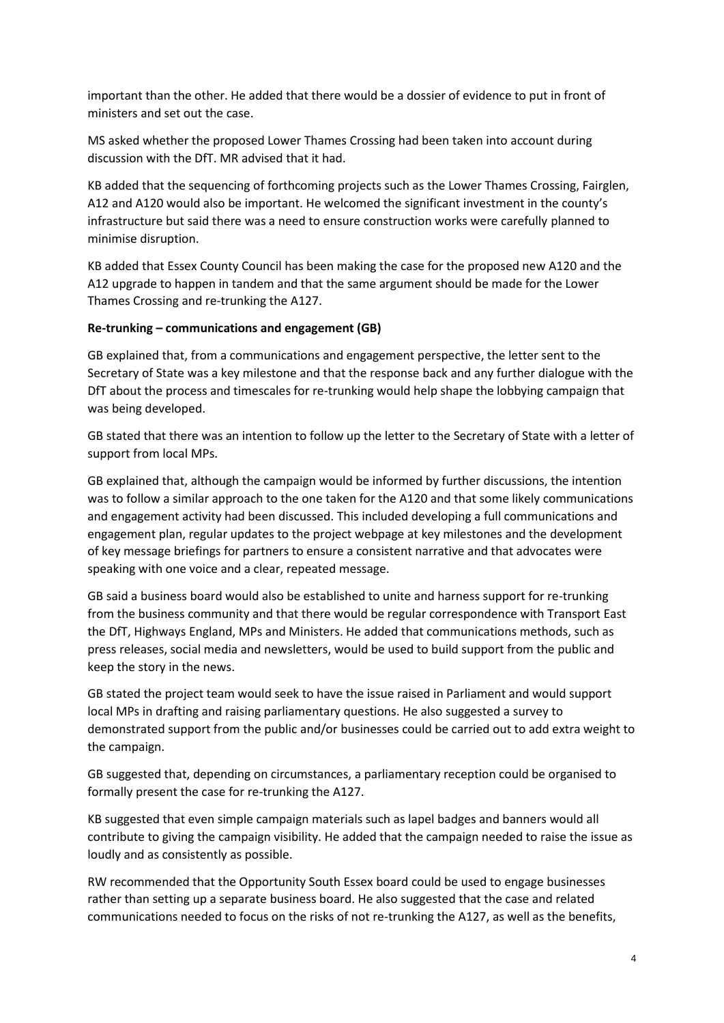important than the other. He added that there would be a dossier of evidence to put in front of ministers and set out the case.

MS asked whether the proposed Lower Thames Crossing had been taken into account during discussion with the DfT. MR advised that it had.

KB added that the sequencing of forthcoming projects such as the Lower Thames Crossing, Fairglen, A12 and A120 would also be important. He welcomed the significant investment in the county's infrastructure but said there was a need to ensure construction works were carefully planned to minimise disruption.

KB added that Essex County Council has been making the case for the proposed new A120 and the A12 upgrade to happen in tandem and that the same argument should be made for the Lower Thames Crossing and re-trunking the A127.

### **Re-trunking – communications and engagement (GB)**

GB explained that, from a communications and engagement perspective, the letter sent to the Secretary of State was a key milestone and that the response back and any further dialogue with the DfT about the process and timescales for re-trunking would help shape the lobbying campaign that was being developed.

GB stated that there was an intention to follow up the letter to the Secretary of State with a letter of support from local MPs.

GB explained that, although the campaign would be informed by further discussions, the intention was to follow a similar approach to the one taken for the A120 and that some likely communications and engagement activity had been discussed. This included developing a full communications and engagement plan, regular updates to the project webpage at key milestones and the development of key message briefings for partners to ensure a consistent narrative and that advocates were speaking with one voice and a clear, repeated message.

GB said a business board would also be established to unite and harness support for re-trunking from the business community and that there would be regular correspondence with Transport East the DfT, Highways England, MPs and Ministers. He added that communications methods, such as press releases, social media and newsletters, would be used to build support from the public and keep the story in the news.

GB stated the project team would seek to have the issue raised in Parliament and would support local MPs in drafting and raising parliamentary questions. He also suggested a survey to demonstrated support from the public and/or businesses could be carried out to add extra weight to the campaign.

GB suggested that, depending on circumstances, a parliamentary reception could be organised to formally present the case for re-trunking the A127.

KB suggested that even simple campaign materials such as lapel badges and banners would all contribute to giving the campaign visibility. He added that the campaign needed to raise the issue as loudly and as consistently as possible.

RW recommended that the Opportunity South Essex board could be used to engage businesses rather than setting up a separate business board. He also suggested that the case and related communications needed to focus on the risks of not re-trunking the A127, as well as the benefits,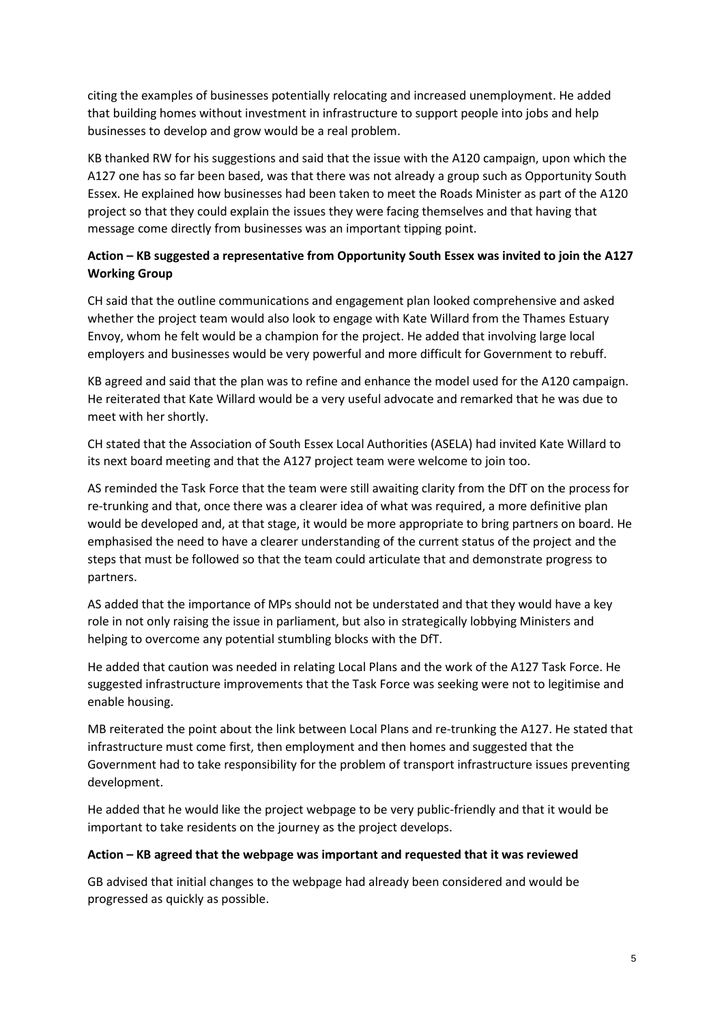citing the examples of businesses potentially relocating and increased unemployment. He added that building homes without investment in infrastructure to support people into jobs and help businesses to develop and grow would be a real problem.

KB thanked RW for his suggestions and said that the issue with the A120 campaign, upon which the A127 one has so far been based, was that there was not already a group such as Opportunity South Essex. He explained how businesses had been taken to meet the Roads Minister as part of the A120 project so that they could explain the issues they were facing themselves and that having that message come directly from businesses was an important tipping point.

# **Action – KB suggested a representative from Opportunity South Essex was invited to join the A127 Working Group**

CH said that the outline communications and engagement plan looked comprehensive and asked whether the project team would also look to engage with Kate Willard from the Thames Estuary Envoy, whom he felt would be a champion for the project. He added that involving large local employers and businesses would be very powerful and more difficult for Government to rebuff.

KB agreed and said that the plan was to refine and enhance the model used for the A120 campaign. He reiterated that Kate Willard would be a very useful advocate and remarked that he was due to meet with her shortly.

CH stated that the Association of South Essex Local Authorities (ASELA) had invited Kate Willard to its next board meeting and that the A127 project team were welcome to join too.

AS reminded the Task Force that the team were still awaiting clarity from the DfT on the process for re-trunking and that, once there was a clearer idea of what was required, a more definitive plan would be developed and, at that stage, it would be more appropriate to bring partners on board. He emphasised the need to have a clearer understanding of the current status of the project and the steps that must be followed so that the team could articulate that and demonstrate progress to partners.

AS added that the importance of MPs should not be understated and that they would have a key role in not only raising the issue in parliament, but also in strategically lobbying Ministers and helping to overcome any potential stumbling blocks with the DfT.

He added that caution was needed in relating Local Plans and the work of the A127 Task Force. He suggested infrastructure improvements that the Task Force was seeking were not to legitimise and enable housing.

MB reiterated the point about the link between Local Plans and re-trunking the A127. He stated that infrastructure must come first, then employment and then homes and suggested that the Government had to take responsibility for the problem of transport infrastructure issues preventing development.

He added that he would like the project webpage to be very public-friendly and that it would be important to take residents on the journey as the project develops.

### **Action – KB agreed that the webpage was important and requested that it was reviewed**

GB advised that initial changes to the webpage had already been considered and would be progressed as quickly as possible.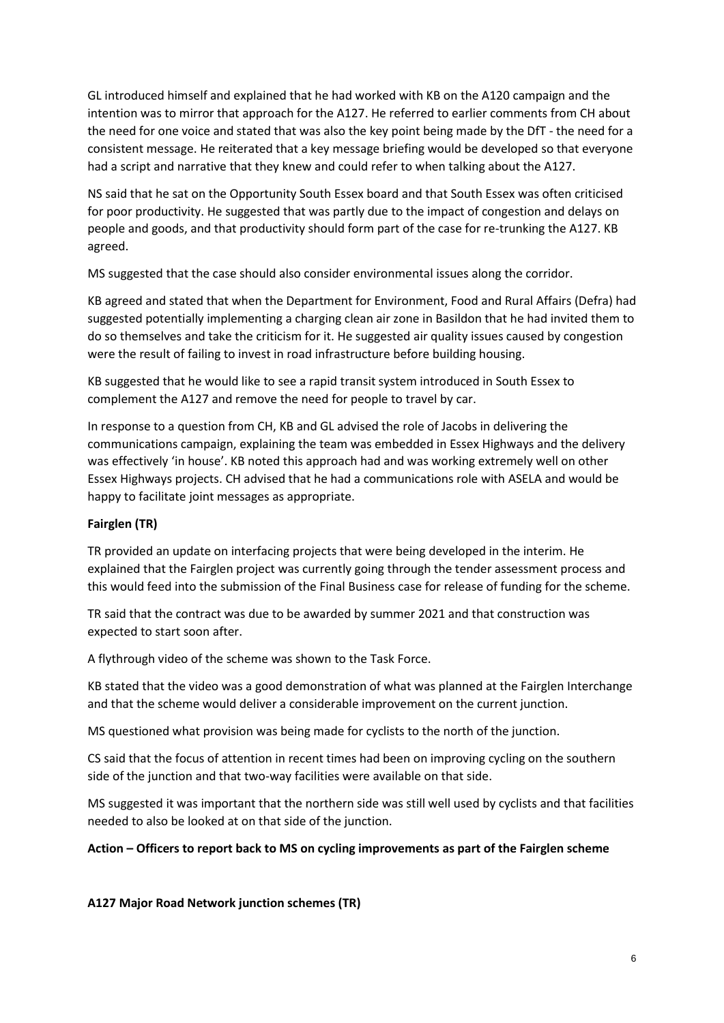GL introduced himself and explained that he had worked with KB on the A120 campaign and the intention was to mirror that approach for the A127. He referred to earlier comments from CH about the need for one voice and stated that was also the key point being made by the DfT - the need for a consistent message. He reiterated that a key message briefing would be developed so that everyone had a script and narrative that they knew and could refer to when talking about the A127.

NS said that he sat on the Opportunity South Essex board and that South Essex was often criticised for poor productivity. He suggested that was partly due to the impact of congestion and delays on people and goods, and that productivity should form part of the case for re-trunking the A127. KB agreed.

MS suggested that the case should also consider environmental issues along the corridor.

KB agreed and stated that when the Department for Environment, Food and Rural Affairs (Defra) had suggested potentially implementing a charging clean air zone in Basildon that he had invited them to do so themselves and take the criticism for it. He suggested air quality issues caused by congestion were the result of failing to invest in road infrastructure before building housing.

KB suggested that he would like to see a rapid transit system introduced in South Essex to complement the A127 and remove the need for people to travel by car.

In response to a question from CH, KB and GL advised the role of Jacobs in delivering the communications campaign, explaining the team was embedded in Essex Highways and the delivery was effectively 'in house'. KB noted this approach had and was working extremely well on other Essex Highways projects. CH advised that he had a communications role with ASELA and would be happy to facilitate joint messages as appropriate.

## **Fairglen (TR)**

TR provided an update on interfacing projects that were being developed in the interim. He explained that the Fairglen project was currently going through the tender assessment process and this would feed into the submission of the Final Business case for release of funding for the scheme.

TR said that the contract was due to be awarded by summer 2021 and that construction was expected to start soon after.

A flythrough video of the scheme was shown to the Task Force.

KB stated that the video was a good demonstration of what was planned at the Fairglen Interchange and that the scheme would deliver a considerable improvement on the current junction.

MS questioned what provision was being made for cyclists to the north of the junction.

CS said that the focus of attention in recent times had been on improving cycling on the southern side of the junction and that two-way facilities were available on that side.

MS suggested it was important that the northern side was still well used by cyclists and that facilities needed to also be looked at on that side of the junction.

## **Action – Officers to report back to MS on cycling improvements as part of the Fairglen scheme**

**A127 Major Road Network junction schemes (TR)**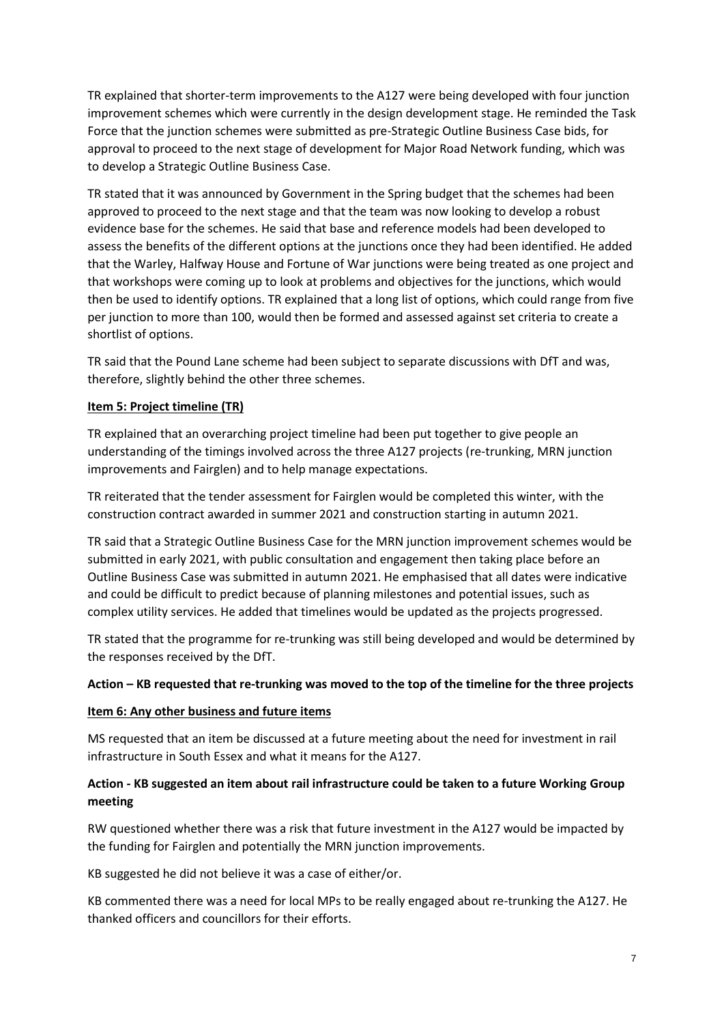TR explained that shorter-term improvements to the A127 were being developed with four junction improvement schemes which were currently in the design development stage. He reminded the Task Force that the junction schemes were submitted as pre-Strategic Outline Business Case bids, for approval to proceed to the next stage of development for Major Road Network funding, which was to develop a Strategic Outline Business Case.

TR stated that it was announced by Government in the Spring budget that the schemes had been approved to proceed to the next stage and that the team was now looking to develop a robust evidence base for the schemes. He said that base and reference models had been developed to assess the benefits of the different options at the junctions once they had been identified. He added that the Warley, Halfway House and Fortune of War junctions were being treated as one project and that workshops were coming up to look at problems and objectives for the junctions, which would then be used to identify options. TR explained that a long list of options, which could range from five per junction to more than 100, would then be formed and assessed against set criteria to create a shortlist of options.

TR said that the Pound Lane scheme had been subject to separate discussions with DfT and was, therefore, slightly behind the other three schemes.

## **Item 5: Project timeline (TR)**

TR explained that an overarching project timeline had been put together to give people an understanding of the timings involved across the three A127 projects (re-trunking, MRN junction improvements and Fairglen) and to help manage expectations.

TR reiterated that the tender assessment for Fairglen would be completed this winter, with the construction contract awarded in summer 2021 and construction starting in autumn 2021.

TR said that a Strategic Outline Business Case for the MRN junction improvement schemes would be submitted in early 2021, with public consultation and engagement then taking place before an Outline Business Case was submitted in autumn 2021. He emphasised that all dates were indicative and could be difficult to predict because of planning milestones and potential issues, such as complex utility services. He added that timelines would be updated as the projects progressed.

TR stated that the programme for re-trunking was still being developed and would be determined by the responses received by the DfT.

### **Action – KB requested that re-trunking was moved to the top of the timeline for the three projects**

### **Item 6: Any other business and future items**

MS requested that an item be discussed at a future meeting about the need for investment in rail infrastructure in South Essex and what it means for the A127.

# **Action - KB suggested an item about rail infrastructure could be taken to a future Working Group meeting**

RW questioned whether there was a risk that future investment in the A127 would be impacted by the funding for Fairglen and potentially the MRN junction improvements.

KB suggested he did not believe it was a case of either/or.

KB commented there was a need for local MPs to be really engaged about re-trunking the A127. He thanked officers and councillors for their efforts.